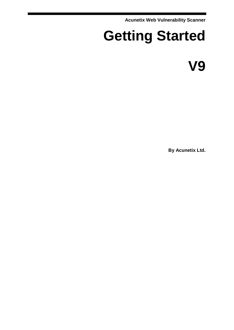**Acunetix Web Vulnerability Scanner**

# **Getting Started**

**V9**

**By Acunetix Ltd.**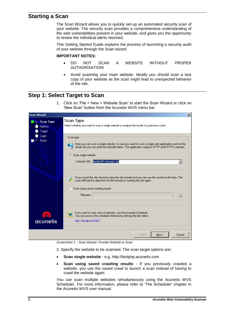## **Starting a Scan**

The Scan Wizard allows you to quickly set-up an automated security scan of your website. The security scan provides a comprehensive understanding of the web vulnerabilities present in your website, and gives you the opportunity to review the individual alerts returned.

This Getting Started Guide explains the process of launching a security audit of your website through the Scan wizard.

#### **IMPORTANT NOTES:**

- DO NOT SCAN A WEBSITE WITHOUT PROPER AUTHORISATION!
- Avoid scanning your main website. Ideally you should scan a test copy of your website as the scan might lead to unexpected behavior of the site.

## **Step 1: Select Target to Scan**

1. Click on 'File > New > Website Scan' to start the Scan Wizard or click on 'New Scan' button from the Acunetix WVS menu bar.

| <b>Scan Wizard</b><br>$\vert x \vert$ |                                                                 |                                                                                                                                                                                                                                                                                 |  |  |
|---------------------------------------|-----------------------------------------------------------------|---------------------------------------------------------------------------------------------------------------------------------------------------------------------------------------------------------------------------------------------------------------------------------|--|--|
|                                       | <b>Scan Type</b><br><b>Options</b><br>Target<br>Login<br>Finish | Scan Type<br>Select whether you want to scan a single website or analyze the results of a previous crawl.                                                                                                                                                                       |  |  |
|                                       |                                                                 | Scan type:<br>Here you can scan a single website. In case you want to scan a single web application and not the<br>whole site you can enter the full path below. The application supports HTTP and HTTPS websites.<br>Scan single website<br>Website URL: testhtml5.vulnweb.com |  |  |
|                                       |                                                                 | If you saved the site structure using the site crawler tool you can use the saved results here. The<br>scan will load this data from the file instead of crawling the site again.<br>Scan using saved crawling results<br>Filename:                                             |  |  |
|                                       | acunetix                                                        | If you want to scan a list of websites, use the Acunetix Scheduler.<br>You can access the scheduler interface by clicking the link below.<br>http://localhost:8182/                                                                                                             |  |  |
|                                       |                                                                 | Next ><br>< Back<br>Cancel                                                                                                                                                                                                                                                      |  |  |

*Screenshot 1 – Scan Wizard: Provide Website to Scan*

2. Specify the website to be scanned. The scan target options are:

- **Scan single website** e.g. http://testphp.acunetix.com
- **Scan using saved crawling results** If you previously crawled a website, you use the saved crawl to launch a scan instead of having to crawl the website again.

You can scan multiple websites simultaneously using the Acunetix WVS Scheduler. For more information, please refer to 'The Scheduler' chapter in the Acunetix WVS user manual.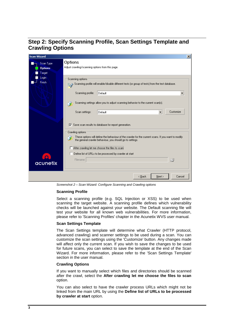# **Step 2: Specify Scanning Profile, Scan Settings Template and Crawling Options**

| <b>Scan Wizard</b><br>$\vert x \vert$ |                                                                                                                                                                  |  |  |  |
|---------------------------------------|------------------------------------------------------------------------------------------------------------------------------------------------------------------|--|--|--|
| Scan Type                             | Options                                                                                                                                                          |  |  |  |
| <b>Options</b>                        | Adjust crawling/scanning options from this page.                                                                                                                 |  |  |  |
| Target                                |                                                                                                                                                                  |  |  |  |
| Login                                 | Scanning options                                                                                                                                                 |  |  |  |
| <b>Finish</b>                         | $\equiv$ $\diamond$ Scanning profile will enable/disable different tests (or group of tests) from the test database.                                             |  |  |  |
|                                       | $\overline{\phantom{a}}$<br>Scanning profile:<br>Default                                                                                                         |  |  |  |
|                                       | Scanning settings allow you to adjust scanning behavior to the current scan(s).                                                                                  |  |  |  |
|                                       | $\overline{\phantom{0}}$<br>Customize<br>Scan settings:<br>Default                                                                                               |  |  |  |
|                                       | $\overline{\triangledown}$ Save scan results to database for report generation.                                                                                  |  |  |  |
|                                       | Crawling options                                                                                                                                                 |  |  |  |
|                                       | These options will define the behaviour of the crawler for the current scans. If you want to modify<br>the general crawler behaviour, you should go to settings. |  |  |  |
|                                       | After crawling let me choose the files to scart                                                                                                                  |  |  |  |
|                                       | Define list of URLs to be processed by crawler at start                                                                                                          |  |  |  |
|                                       | 序<br>Filename:                                                                                                                                                   |  |  |  |
| acunetix                              |                                                                                                                                                                  |  |  |  |
|                                       |                                                                                                                                                                  |  |  |  |
|                                       | < Back<br>Next ><br>Cancel                                                                                                                                       |  |  |  |

*Screenshot 2 – Scan Wizard: Configure Scanning and Crawling options*

#### **Scanning Profile**

Select a scanning profile (e.g. SQL Injection or XSS) to be used when scanning the target website. A scanning profile defines which vulnerability checks will be launched against your website. The Default scanning file will test your website for all known web vulnerabilities. For more information, please refer to 'Scanning Profiles' chapter in the Acunetix WVS user manual.

#### **Scan Settings Template**

The Scan Settings template will determine what Crawler (HTTP protocol, advanced crawling) and scanner settings to be used during a scan. You can customize the scan settings using the 'Customize' button. Any changes made will affect only the current scan. If you wish to save the changes to be used for future scans, you can select to save the template at the end of the Scan Wizard. For more information, please refer to the 'Scan Settings Template' section in the user manual.

#### **Crawling Options**

If you want to manually select which files and directories should be scanned after the crawl, select the **After crawling let me choose the files to scan** option.

You can also select to have the crawler process URLs which might not be linked from the main URL by using the **Define list of URLs to be processed by crawler at start** option.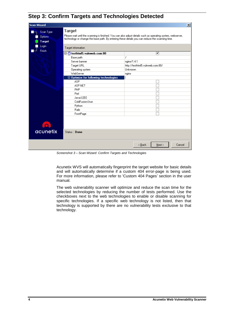# **Step 3: Confirm Targets and Technologies Detected**

| <b>Scan Wizard</b>                                    |                                                                                                                                                                                                                                                 | $ \mathbf{x} $                   |  |
|-------------------------------------------------------|-------------------------------------------------------------------------------------------------------------------------------------------------------------------------------------------------------------------------------------------------|----------------------------------|--|
| Scan Type<br><b>Options</b><br><b>Target</b><br>Login | Target<br>Please wait until the scanning is finished. You can also adjust details such as operating system, webserver,<br>technology or change the base path. By entering these details you can reduce the scanning time.<br>Target information |                                  |  |
| <b>Finish</b>                                         | □ ctesthtml5.vulnweb.com:80                                                                                                                                                                                                                     | ☑                                |  |
|                                                       | Base path                                                                                                                                                                                                                                       | 7                                |  |
|                                                       | Server banner                                                                                                                                                                                                                                   | nginx/1.4.1                      |  |
|                                                       | Target URL                                                                                                                                                                                                                                      | http://testhtml5.vulnweb.com:80/ |  |
|                                                       | <b>Operating system</b>                                                                                                                                                                                                                         | Unknown                          |  |
|                                                       | WebServer                                                                                                                                                                                                                                       | nginx                            |  |
|                                                       | $\boxdot$ Optimize for following technologies                                                                                                                                                                                                   |                                  |  |
|                                                       | ASP                                                                                                                                                                                                                                             |                                  |  |
|                                                       | <b>ASP.NET</b>                                                                                                                                                                                                                                  |                                  |  |
|                                                       | PHP                                                                                                                                                                                                                                             |                                  |  |
|                                                       | Perl                                                                                                                                                                                                                                            |                                  |  |
|                                                       | Java/J2EE                                                                                                                                                                                                                                       |                                  |  |
|                                                       | ColdFusion/Jrun                                                                                                                                                                                                                                 |                                  |  |
|                                                       | Python                                                                                                                                                                                                                                          |                                  |  |
|                                                       | Rails                                                                                                                                                                                                                                           |                                  |  |
|                                                       | FrontPage                                                                                                                                                                                                                                       |                                  |  |
| acunetix                                              | Status: Done                                                                                                                                                                                                                                    |                                  |  |
|                                                       |                                                                                                                                                                                                                                                 |                                  |  |
|                                                       |                                                                                                                                                                                                                                                 | Cancel<br>< Back<br>Next >       |  |

*Screenshot 3 – Scan Wizard: Confirm Targets and Technologies*

Acunetix WVS will automatically fingerprint the target website for basic details and will automatically determine if a custom 404 error-page is being used. For more information, please refer to 'Custom 404 Pages' section in the user manual.

The web vulnerability scanner will optimize and reduce the scan time for the selected technologies by reducing the number of tests performed. Use the checkboxes next to the web technologies to enable or disable scanning for specific technologies. If a specific web technology is not listed, then that technology is supported by there are no vulnerability tests exclusive to that technology.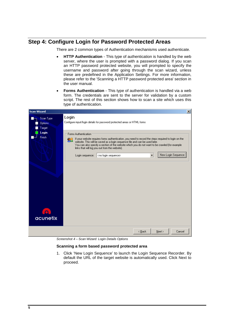# **Step 4: Configure Login for Password Protected Areas**

There are 2 common types of Authentication mechanisms used authenticate.

- **HTTP Authentication** This type of authentication is handled by the web server, where the user is prompted with a password dialog. If you scan an HTTP password protected website, you will prompted to specify the username and password after going through the scan wizard, unless these are predefined in the Application Settings. For more information, please refer to the 'Scanning a HTTP password protected area' section in the user manual.
- **Forms Authentication** This type of authentication is handled via a web form. The credentials are sent to the server for validation by a custom script. The rest of this section shows how to scan a site which uses this type of authentication.



*Screenshot 4 – Scan Wizard: Login Details Options*

#### **Scanning a form based password protected area**

1. Click 'New Login Sequence' to launch the Login Sequence Recorder. By default the URL of the target website is automatically used. Click Next to proceed.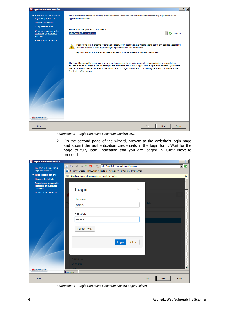

*Screenshot 5 – Login Sequence Recorder: Confirm URL*

2. On the second page of the wizard, browse to the website's login page and submit the authentication credentials in the login form. Wait for the page to fully load, indicating that you are logged in. Click **Next** to proceed.

| <b>Dogin Sequence Recorder</b>                                       |                                                                              | $\Box$ u $\times$         |
|----------------------------------------------------------------------|------------------------------------------------------------------------------|---------------------------|
| Set start URL to define a                                            | 0 0 4 3 0 5 Mtp://testhtml5.vulnweb.com/#/popular                            | Е<br>$\blacktriangledown$ |
| login sequence for                                                   | e SecurityTweets - HTML5 test website for Acunetix Web Vulnerability Scanner |                           |
| Record login actions                                                 | Click here to mark this page for manual intervention                         | x                         |
| Setup restricted links                                               |                                                                              | ۸                         |
| Setup in-session detection<br>(detection of invalidated<br>sessions) | Login<br>×                                                                   |                           |
| Review login sequence                                                |                                                                              |                           |
|                                                                      | Username                                                                     |                           |
|                                                                      | ner.<br>admin                                                                |                           |
|                                                                      |                                                                              |                           |
|                                                                      | Password                                                                     |                           |
|                                                                      |                                                                              |                           |
|                                                                      |                                                                              |                           |
|                                                                      | Forgot Pwd?                                                                  |                           |
|                                                                      |                                                                              |                           |
|                                                                      | Login<br>Close                                                               |                           |
|                                                                      |                                                                              |                           |
|                                                                      |                                                                              |                           |
|                                                                      | <b>ACUNETIX</b>                                                              |                           |
|                                                                      | <b>Website</b>                                                               |                           |
|                                                                      |                                                                              | $\overline{\mathbf{v}}$   |
| acunetix                                                             | Recording                                                                    |                           |
| Help                                                                 | Back                                                                         | Cancel<br>Next            |

*Screenshot 6 – Login Sequence Recorder: Record Login Actions*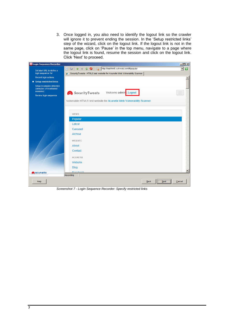3. Once logged in, you also need to identify the logout link so the crawler will ignore it to prevent ending the session. In the 'Setup restricted links' step of the wizard, click on the logout link. If the logout link is not in the same page, click on 'Pause' in the top menu, navigate to a page where the logout link is found, resume the session and click on the logout link. Click 'Next' to proceed.



*Screenshot 7 - Login Sequence Recorder: Specify restricted links*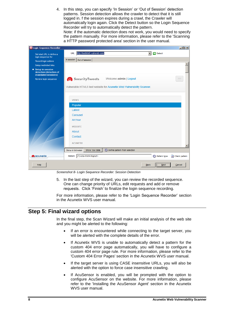4. In this step, you can specify 'In Session' or 'Out of Session' detection patterns. Session detection allows the crawler to detect that it is still logged in. f the session expires during a crawl, the Crawler will automatically login again. Click the Detect button so the Login Sequence Recorder will try to automatically detect the pattern. Note: if the automatic detection does not work, you would need to specify the pattern manually. For more information, please refer to the 'Scanning a HTTP password protected area' section in the user manual.



*Screenshot 8- Login Sequence Recorder: Session Detection*

5. In the last step of the wizard, you can review the recorded sequence. One can change priority of URLs, edit requests and add or remove requests. Click 'Finish' to finalize the login sequence recording.

For more information, please refer to the 'Login Sequence Recorder' section in the Acunetix WVS user manual.

### **Step 5: Final wizard options**

In the final step, the Scan Wizard will make an initial analysis of the web site and you might be alerted to the following:

- If an error is encountered while connecting to the target server, you will be alerted with the complete details of the error.
- If Acunetix WVS is unable to automatically detect a pattern for the custom 404 error page automatically, you will have to configure a custom 404 error page rule. For more information, please refer to the 'Custom 404 Error Pages' section in the Acunetix WVS user manual.
- If the target server is using CASE insensitive URLs, you will also be alerted with the option to force case insensitive crawling.
- If AcuSensor is enabled, you will be prompted with the option to configure AcuSensor on the website. For more information, please refer to the 'Installing the AcuSensor Agent' section in the Acunetix WVS user manual.